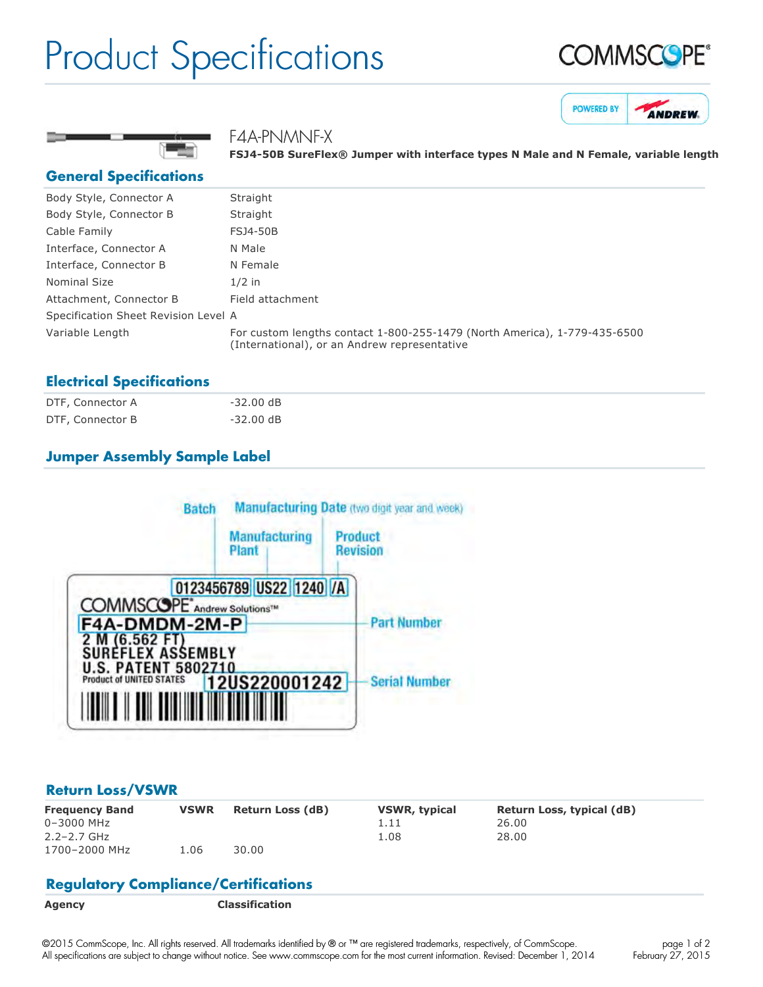## Product Specifications







## F4A-PNMNF-X

**FSJ450B SureFlex® Jumper with interface types N Male and N Female, variable length**

### **General Specifications**

| Body Style, Connector A              | Straight                                                                                                                  |
|--------------------------------------|---------------------------------------------------------------------------------------------------------------------------|
| Body Style, Connector B              | Straight                                                                                                                  |
| Cable Family                         | FSJ4-50B                                                                                                                  |
| Interface, Connector A               | N Male                                                                                                                    |
| Interface, Connector B               | N Female                                                                                                                  |
| Nominal Size                         | $1/2$ in                                                                                                                  |
| Attachment, Connector B              | Field attachment                                                                                                          |
| Specification Sheet Revision Level A |                                                                                                                           |
| Variable Length                      | For custom lengths contact 1-800-255-1479 (North America), 1-779-435-6500<br>(International), or an Andrew representative |

## **Electrical Specifications**

| DTF, Connector A | $-32.00 \text{ dB}$ |  |
|------------------|---------------------|--|
| DTF, Connector B | -32.00 dB           |  |

## **Jumper Assembly Sample Label**



#### **Return Loss/VSWR**

| <b>Frequency Band</b> | <b>VSWR</b> | <b>Return Loss (dB)</b> | <b>VSWR, typical</b> | Return Loss, typical (dB) |
|-----------------------|-------------|-------------------------|----------------------|---------------------------|
| 0-3000 MHz            |             |                         | 1.11                 | 26.00                     |
| $2.2 - 2.7$ GHz       |             |                         | 1.08                 | 28.00                     |
| 1700-2000 MHz         | L.O6        | 30.00                   |                      |                           |

## **Regulatory Compliance/Certifications**

**Agency Classification**